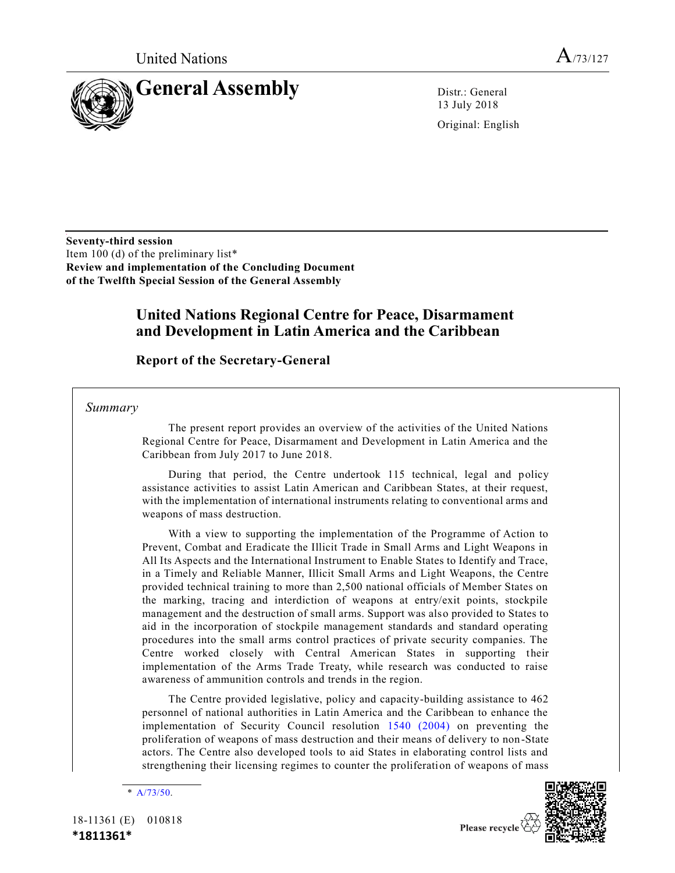

13 July 2018

Original: English

**Seventy-third session**  Item 100 (d) of the preliminary list\* **Review and implementation of the Concluding Document of the Twelfth Special Session of the General Assembly**

# **United Nations Regional Centre for Peace, Disarmament and Development in Latin America and the Caribbean**

**Report of the Secretary-General** 

### *Summary*

The present report provides an overview of the activities of the United Nations Regional Centre for Peace, Disarmament and Development in Latin America and the Caribbean from July 2017 to June 2018.

During that period, the Centre undertook 115 technical, legal and policy assistance activities to assist Latin American and Caribbean States, at their request, with the implementation of international instruments relating to conventional arms and weapons of mass destruction.

With a view to supporting the implementation of the Programme of Action to Prevent, Combat and Eradicate the Illicit Trade in Small Arms and Light Weapons in All Its Aspects and the International Instrument to Enable States to Identify and Trace, in a Timely and Reliable Manner, Illicit Small Arms and Light Weapons, the Centre provided technical training to more than 2,500 national officials of Member States on the marking, tracing and interdiction of weapons at entry/exit points, stockpile management and the destruction of small arms. Support was also provided to States to aid in the incorporation of stockpile management standards and standard operating procedures into the small arms control practices of private security companies. The Centre worked closely with Central American States in supporting their implementation of the Arms Trade Treaty, while research was conducted to raise awareness of ammunition controls and trends in the region.

The Centre provided legislative, policy and capacity-building assistance to 462 personnel of national authorities in Latin America and the Caribbean to enhance the implementation of Security Council resolution [1540 \(2004\)](https://undocs.org/S/RES/1540(2004)) on preventing the proliferation of weapons of mass destruction and their means of delivery to non -State actors. The Centre also developed tools to aid States in elaborating control lists and strengthening their licensing regimes to counter the proliferation of weapons of mass



<sup>\*</sup> [A/73/50.](https://undocs.org/A/73/50)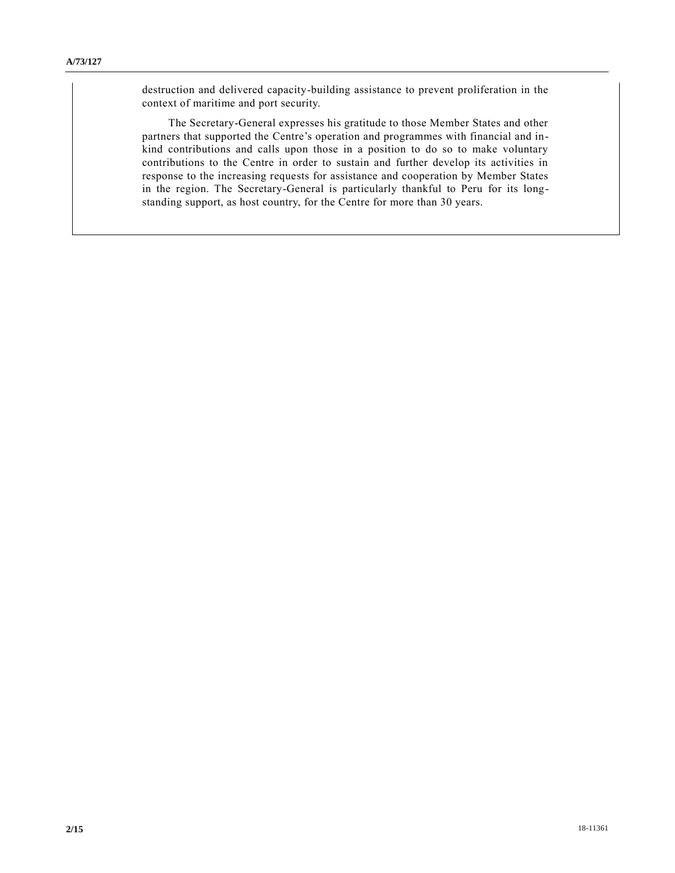destruction and delivered capacity-building assistance to prevent proliferation in the context of maritime and port security.

The Secretary-General expresses his gratitude to those Member States and other partners that supported the Centre's operation and programmes with financial and inkind contributions and calls upon those in a position to do so to make voluntary contributions to the Centre in order to sustain and further develop its activities in response to the increasing requests for assistance and cooperation by Member States in the region. The Secretary-General is particularly thankful to Peru for its longstanding support, as host country, for the Centre for more than 30 years.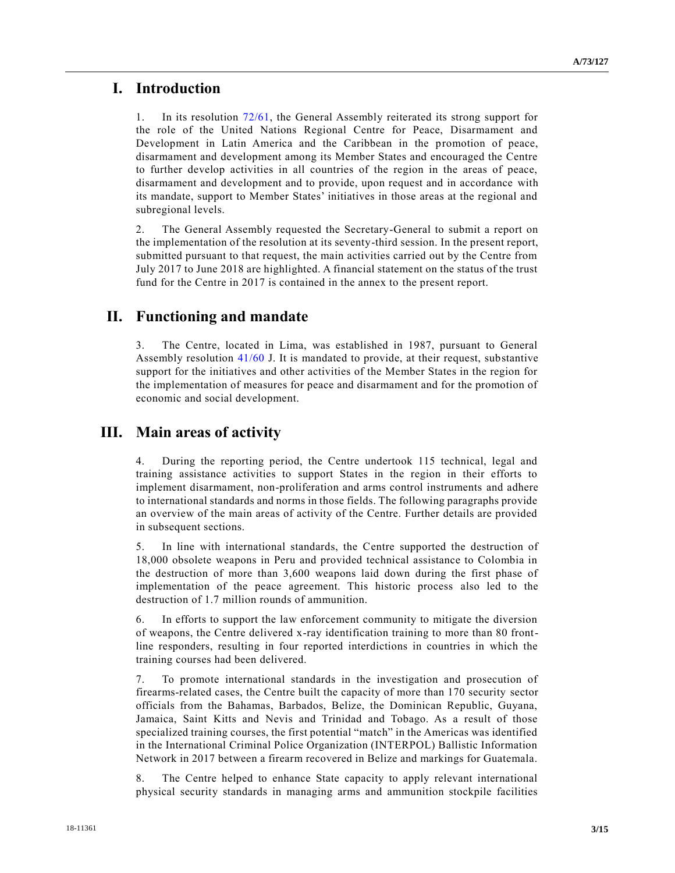## **I. Introduction**

1. In its resolution [72/61,](https://undocs.org/A/RES/72/61) the General Assembly reiterated its strong support for the role of the United Nations Regional Centre for Peace, Disarmament and Development in Latin America and the Caribbean in the promotion of peace, disarmament and development among its Member States and encouraged the Centre to further develop activities in all countries of the region in the areas of peace, disarmament and development and to provide, upon request and in accordance with its mandate, support to Member States' initiatives in those areas at the regional and subregional levels.

2. The General Assembly requested the Secretary-General to submit a report on the implementation of the resolution at its seventy-third session. In the present report, submitted pursuant to that request, the main activities carried out by the Centre from July 2017 to June 2018 are highlighted. A financial statement on the status of the trust fund for the Centre in 2017 is contained in the annex to the present report.

# **II. Functioning and mandate**

3. The Centre, located in Lima, was established in 1987, pursuant to General Assembly resolution [41/60](https://undocs.org/A/RES/41/60) J. It is mandated to provide, at their request, substantive support for the initiatives and other activities of the Member States in the region for the implementation of measures for peace and disarmament and for the promotion of economic and social development.

# **III. Main areas of activity**

4. During the reporting period, the Centre undertook 115 technical, legal and training assistance activities to support States in the region in their efforts to implement disarmament, non-proliferation and arms control instruments and adhere to international standards and norms in those fields. The following paragraphs provide an overview of the main areas of activity of the Centre. Further details are provided in subsequent sections.

5. In line with international standards, the Centre supported the destruction of 18,000 obsolete weapons in Peru and provided technical assistance to Colombia in the destruction of more than 3,600 weapons laid down during the first phase of implementation of the peace agreement. This historic process also led to the destruction of 1.7 million rounds of ammunition.

6. In efforts to support the law enforcement community to mitigate the diversion of weapons, the Centre delivered x-ray identification training to more than 80 frontline responders, resulting in four reported interdictions in countries in which the training courses had been delivered.

7. To promote international standards in the investigation and prosecution of firearms-related cases, the Centre built the capacity of more than 170 security sector officials from the Bahamas, Barbados, Belize, the Dominican Republic, Guyana, Jamaica, Saint Kitts and Nevis and Trinidad and Tobago. As a result of those specialized training courses, the first potential "match" in the Americas was identified in the International Criminal Police Organization (INTERPOL) Ballistic Information Network in 2017 between a firearm recovered in Belize and markings for Guatemala.

8. The Centre helped to enhance State capacity to apply relevant international physical security standards in managing arms and ammunition stockpile facilities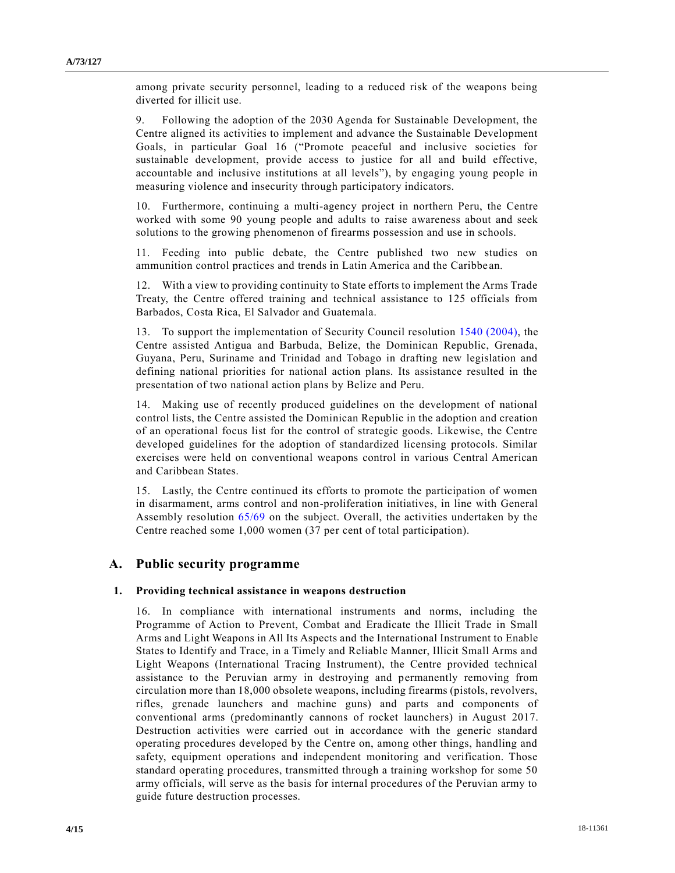among private security personnel, leading to a reduced risk of the weapons being diverted for illicit use.

9. Following the adoption of the 2030 Agenda for Sustainable Development, the Centre aligned its activities to implement and advance the Sustainable Development Goals, in particular Goal 16 ("Promote peaceful and inclusive societies for sustainable development, provide access to justice for all and build effective, accountable and inclusive institutions at all levels"), by engaging young people in measuring violence and insecurity through participatory indicators.

10. Furthermore, continuing a multi-agency project in northern Peru, the Centre worked with some 90 young people and adults to raise awareness about and seek solutions to the growing phenomenon of firearms possession and use in schools.

11. Feeding into public debate, the Centre published two new studies on ammunition control practices and trends in Latin America and the Caribbe an.

12. With a view to providing continuity to State efforts to implement the Arms Trade Treaty, the Centre offered training and technical assistance to 125 officials from Barbados, Costa Rica, El Salvador and Guatemala.

13. To support the implementation of Security Council resolution [1540 \(2004\),](https://undocs.org/S/RES/1540(2004)) the Centre assisted Antigua and Barbuda, Belize, the Dominican Republic, Grenada, Guyana, Peru, Suriname and Trinidad and Tobago in drafting new legislation and defining national priorities for national action plans. Its assistance resulted in the presentation of two national action plans by Belize and Peru.

14. Making use of recently produced guidelines on the development of national control lists, the Centre assisted the Dominican Republic in the adoption and creation of an operational focus list for the control of strategic goods. Likewise, the Centre developed guidelines for the adoption of standardized licensing protocols. Similar exercises were held on conventional weapons control in various Central American and Caribbean States.

15. Lastly, the Centre continued its efforts to promote the participation of women in disarmament, arms control and non-proliferation initiatives, in line with General Assembly resolution [65/69](https://undocs.org/A/RES/65/69) on the subject. Overall, the activities undertaken by the Centre reached some 1,000 women (37 per cent of total participation).

### **A. Public security programme**

#### **1. Providing technical assistance in weapons destruction**

16. In compliance with international instruments and norms, including the Programme of Action to Prevent, Combat and Eradicate the Illicit Trade in Small Arms and Light Weapons in All Its Aspects and the International Instrument to Enable States to Identify and Trace, in a Timely and Reliable Manner, Illicit Small Arms and Light Weapons (International Tracing Instrument), the Centre provided technical assistance to the Peruvian army in destroying and permanently removing from circulation more than 18,000 obsolete weapons, including firearms (pistols, revolvers, rifles, grenade launchers and machine guns) and parts and components of conventional arms (predominantly cannons of rocket launchers) in August 2017. Destruction activities were carried out in accordance with the generic standard operating procedures developed by the Centre on, among other things, handling and safety, equipment operations and independent monitoring and verification. Those standard operating procedures, transmitted through a training workshop for some 50 army officials, will serve as the basis for internal procedures of the Peruvian army to guide future destruction processes.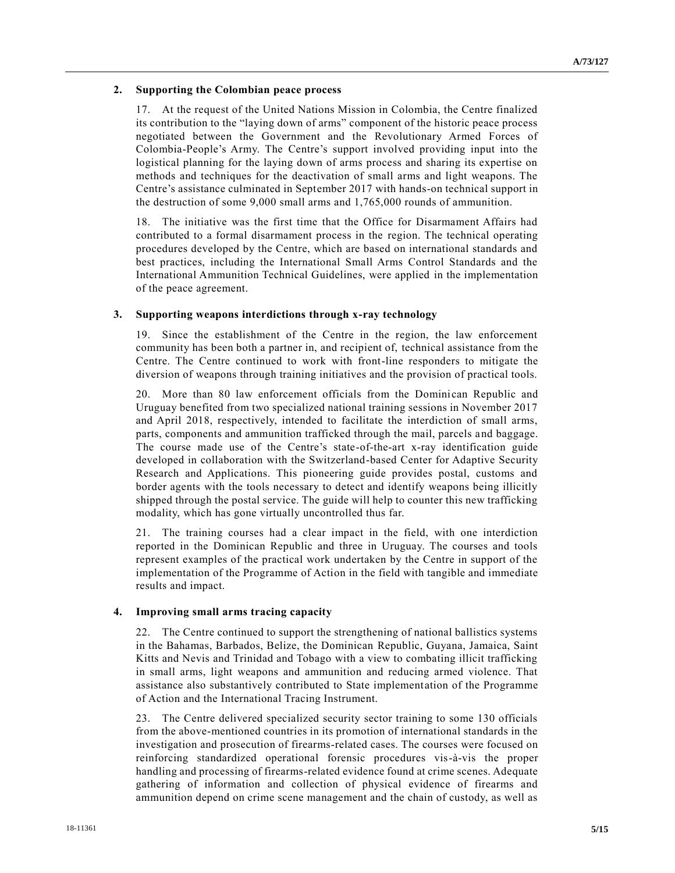#### **2. Supporting the Colombian peace process**

17. At the request of the United Nations Mission in Colombia, the Centre finalized its contribution to the "laying down of arms" component of the historic peace process negotiated between the Government and the Revolutionary Armed Forces of Colombia-People's Army. The Centre's support involved providing input into the logistical planning for the laying down of arms process and sharing its expertise on methods and techniques for the deactivation of small arms and light weapons. The Centre's assistance culminated in September 2017 with hands-on technical support in the destruction of some 9,000 small arms and 1,765,000 rounds of ammunition.

18. The initiative was the first time that the Office for Disarmament Affairs had contributed to a formal disarmament process in the region. The technical operating procedures developed by the Centre, which are based on international standards and best practices, including the International Small Arms Control Standards and the International Ammunition Technical Guidelines, were applied in the implementation of the peace agreement.

### **3. Supporting weapons interdictions through x-ray technology**

19. Since the establishment of the Centre in the region, the law enforcement community has been both a partner in, and recipient of, technical assistance from the Centre. The Centre continued to work with front-line responders to mitigate the diversion of weapons through training initiatives and the provision of practical tools.

20. More than 80 law enforcement officials from the Dominican Republic and Uruguay benefited from two specialized national training sessions in November 2017 and April 2018, respectively, intended to facilitate the interdiction of small arms, parts, components and ammunition trafficked through the mail, parcels and baggage. The course made use of the Centre's state-of-the-art x-ray identification guide developed in collaboration with the Switzerland-based Center for Adaptive Security Research and Applications. This pioneering guide provides postal, customs and border agents with the tools necessary to detect and identify weapons being illicitly shipped through the postal service. The guide will help to counter this new trafficking modality, which has gone virtually uncontrolled thus far.

21. The training courses had a clear impact in the field, with one interdiction reported in the Dominican Republic and three in Uruguay. The courses and tools represent examples of the practical work undertaken by the Centre in support of the implementation of the Programme of Action in the field with tangible and immediate results and impact.

#### **4. Improving small arms tracing capacity**

22. The Centre continued to support the strengthening of national ballistics systems in the Bahamas, Barbados, Belize, the Dominican Republic, Guyana, Jamaica, Saint Kitts and Nevis and Trinidad and Tobago with a view to combating illicit trafficking in small arms, light weapons and ammunition and reducing armed violence. That assistance also substantively contributed to State implementation of the Programme of Action and the International Tracing Instrument.

23. The Centre delivered specialized security sector training to some 130 officials from the above-mentioned countries in its promotion of international standards in the investigation and prosecution of firearms-related cases. The courses were focused on reinforcing standardized operational forensic procedures vis-à-vis the proper handling and processing of firearms-related evidence found at crime scenes. Adequate gathering of information and collection of physical evidence of firearms and ammunition depend on crime scene management and the chain of custody, as well as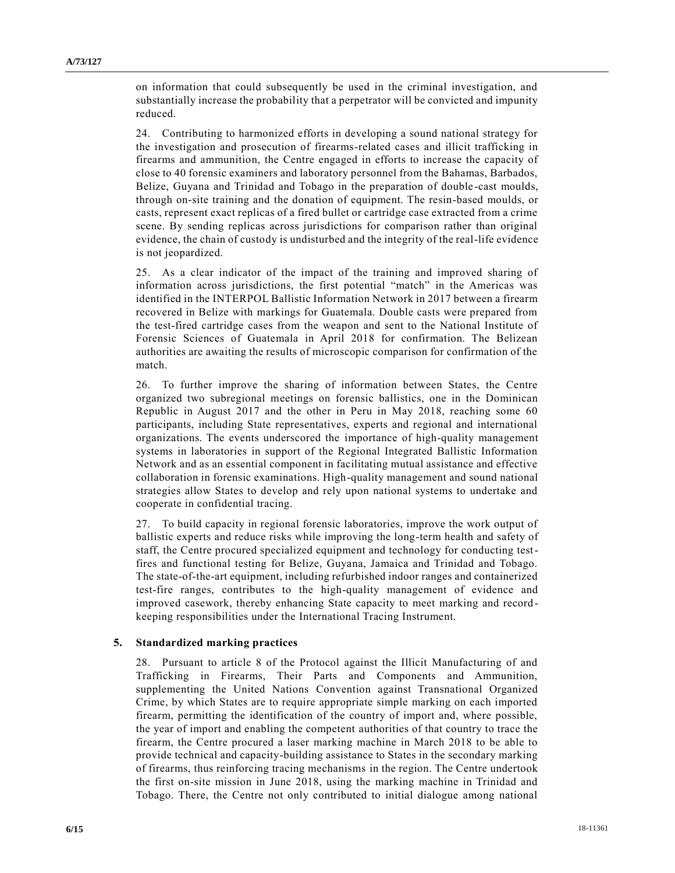on information that could subsequently be used in the criminal investigation, and substantially increase the probability that a perpetrator will be convicted and impunity reduced.

24. Contributing to harmonized efforts in developing a sound national strategy for the investigation and prosecution of firearms-related cases and illicit trafficking in firearms and ammunition, the Centre engaged in efforts to increase the capacity of close to 40 forensic examiners and laboratory personnel from the Bahamas, Barbados, Belize, Guyana and Trinidad and Tobago in the preparation of double -cast moulds, through on-site training and the donation of equipment. The resin-based moulds, or casts, represent exact replicas of a fired bullet or cartridge case extracted from a crime scene. By sending replicas across jurisdictions for comparison rather than original evidence, the chain of custody is undisturbed and the integrity of the real-life evidence is not jeopardized.

25. As a clear indicator of the impact of the training and improved sharing of information across jurisdictions, the first potential "match" in the Americas was identified in the INTERPOL Ballistic Information Network in 2017 between a firearm recovered in Belize with markings for Guatemala. Double casts were prepared from the test-fired cartridge cases from the weapon and sent to the National Institute of Forensic Sciences of Guatemala in April 2018 for confirmation. The Belizean authorities are awaiting the results of microscopic comparison for confirmation of the match.

26. To further improve the sharing of information between States, the Centre organized two subregional meetings on forensic ballistics, one in the Dominican Republic in August 2017 and the other in Peru in May 2018, reaching some 60 participants, including State representatives, experts and regional and international organizations. The events underscored the importance of high-quality management systems in laboratories in support of the Regional Integrated Ballistic Information Network and as an essential component in facilitating mutual assistance and effective collaboration in forensic examinations. High-quality management and sound national strategies allow States to develop and rely upon national systems to undertake and cooperate in confidential tracing.

27. To build capacity in regional forensic laboratories, improve the work output of ballistic experts and reduce risks while improving the long-term health and safety of staff, the Centre procured specialized equipment and technology for conducting testfires and functional testing for Belize, Guyana, Jamaica and Trinidad and Tobago. The state-of-the-art equipment, including refurbished indoor ranges and containerized test-fire ranges, contributes to the high-quality management of evidence and improved casework, thereby enhancing State capacity to meet marking and record keeping responsibilities under the International Tracing Instrument.

### **5. Standardized marking practices**

28. Pursuant to article 8 of the Protocol against the Illicit Manufacturing of and Trafficking in Firearms, Their Parts and Components and Ammunition, supplementing the United Nations Convention against Transnational Organized Crime, by which States are to require appropriate simple marking on each imported firearm, permitting the identification of the country of import and, where possible, the year of import and enabling the competent authorities of that country to trace the firearm, the Centre procured a laser marking machine in March 2018 to be able to provide technical and capacity-building assistance to States in the secondary marking of firearms, thus reinforcing tracing mechanisms in the region. The Centre undertook the first on-site mission in June 2018, using the marking machine in Trinidad and Tobago. There, the Centre not only contributed to initial dialogue among national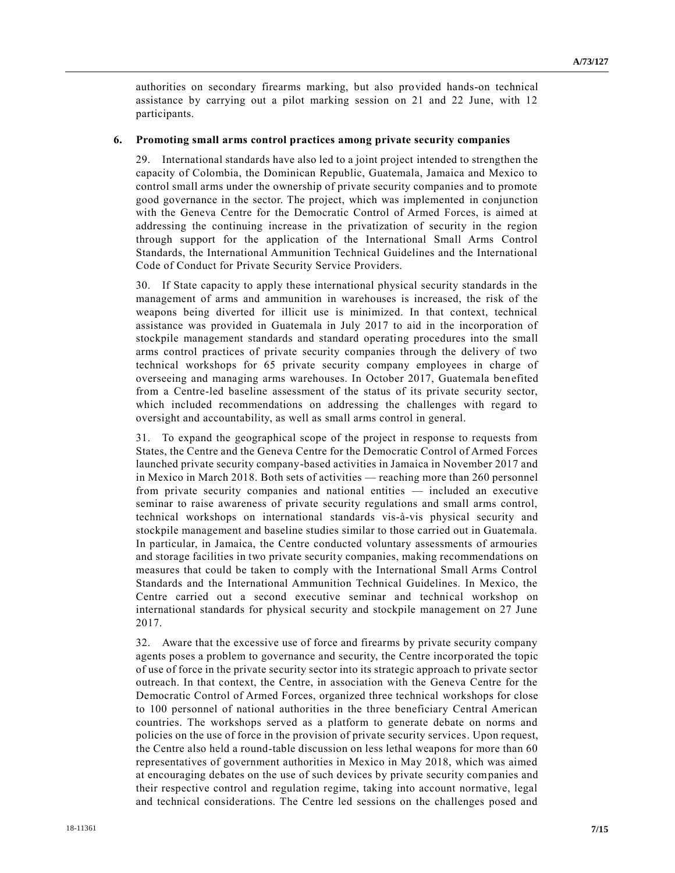authorities on secondary firearms marking, but also provided hands-on technical assistance by carrying out a pilot marking session on 21 and 22 June, with 12 participants.

#### **6. Promoting small arms control practices among private security companies**

29. International standards have also led to a joint project intended to strengthen the capacity of Colombia, the Dominican Republic, Guatemala, Jamaica and Mexico to control small arms under the ownership of private security companies and to promote good governance in the sector. The project, which was implemented in conjunction with the Geneva Centre for the Democratic Control of Armed Forces, is aimed at addressing the continuing increase in the privatization of security in the region through support for the application of the International Small Arms Control Standards, the International Ammunition Technical Guidelines and the International Code of Conduct for Private Security Service Providers.

30. If State capacity to apply these international physical security standards in the management of arms and ammunition in warehouses is increased, the risk of the weapons being diverted for illicit use is minimized. In that context, technical assistance was provided in Guatemala in July 2017 to aid in the incorporation of stockpile management standards and standard operating procedures into the small arms control practices of private security companies through the delivery of two technical workshops for 65 private security company employees in charge of overseeing and managing arms warehouses. In October 2017, Guatemala benefited from a Centre-led baseline assessment of the status of its private security sector, which included recommendations on addressing the challenges with regard to oversight and accountability, as well as small arms control in general.

31. To expand the geographical scope of the project in response to requests from States, the Centre and the Geneva Centre for the Democratic Control of Armed Forces launched private security company-based activities in Jamaica in November 2017 and in Mexico in March 2018. Both sets of activities — reaching more than 260 personnel from private security companies and national entities — included an executive seminar to raise awareness of private security regulations and small arms control, technical workshops on international standards vis-à-vis physical security and stockpile management and baseline studies similar to those carried out in Guatemala. In particular, in Jamaica, the Centre conducted voluntary assessments of armouries and storage facilities in two private security companies, making recommendations on measures that could be taken to comply with the International Small Arms Control Standards and the International Ammunition Technical Guidelines. In Mexico, the Centre carried out a second executive seminar and technical workshop on international standards for physical security and stockpile management on 27 June 2017.

32. Aware that the excessive use of force and firearms by private security company agents poses a problem to governance and security, the Centre incorporated the topic of use of force in the private security sector into its strategic approach to private sector outreach. In that context, the Centre, in association with the Geneva Centre for the Democratic Control of Armed Forces, organized three technical workshops for close to 100 personnel of national authorities in the three beneficiary Central American countries. The workshops served as a platform to generate debate on norms and policies on the use of force in the provision of private security services. Upon request, the Centre also held a round-table discussion on less lethal weapons for more than 60 representatives of government authorities in Mexico in May 2018, which was aimed at encouraging debates on the use of such devices by private security companies and their respective control and regulation regime, taking into account normative, legal and technical considerations. The Centre led sessions on the challenges posed and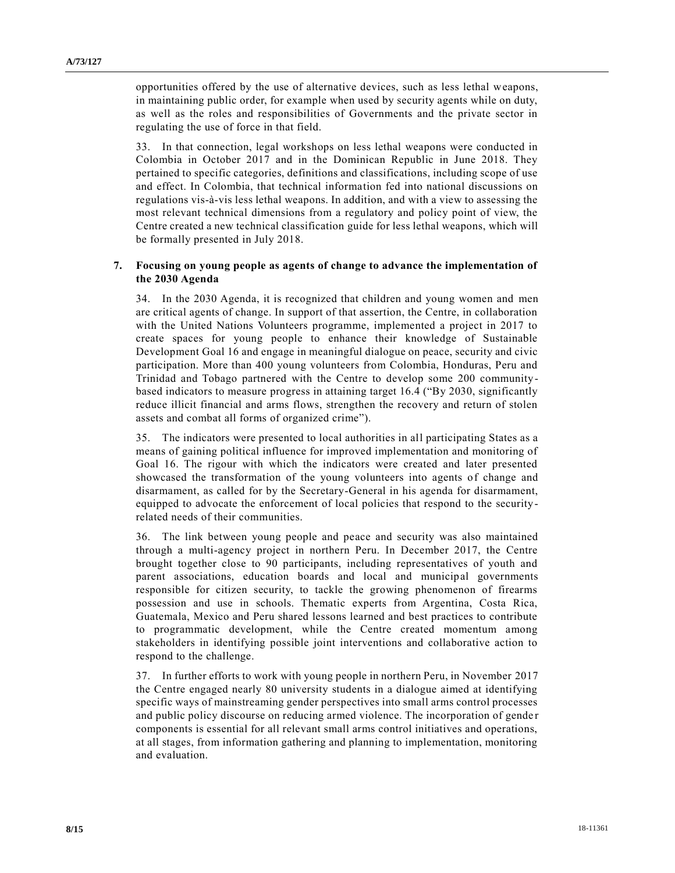opportunities offered by the use of alternative devices, such as less lethal weapons, in maintaining public order, for example when used by security agents while on duty, as well as the roles and responsibilities of Governments and the private sector in regulating the use of force in that field.

33. In that connection, legal workshops on less lethal weapons were conducted in Colombia in October 2017 and in the Dominican Republic in June 2018. They pertained to specific categories, definitions and classifications, including scope of use and effect. In Colombia, that technical information fed into national discussions on regulations vis-à-vis less lethal weapons. In addition, and with a view to assessing the most relevant technical dimensions from a regulatory and policy point of view, the Centre created a new technical classification guide for less lethal weapons, which will be formally presented in July 2018.

#### **7. Focusing on young people as agents of change to advance the implementation of the 2030 Agenda**

34. In the 2030 Agenda, it is recognized that children and young women and men are critical agents of change. In support of that assertion, the Centre, in collaboration with the United Nations Volunteers programme, implemented a project in 2017 to create spaces for young people to enhance their knowledge of Sustainable Development Goal 16 and engage in meaningful dialogue on peace, security and civic participation. More than 400 young volunteers from Colombia, Honduras, Peru and Trinidad and Tobago partnered with the Centre to develop some 200 communitybased indicators to measure progress in attaining target 16.4 ("By 2030, significantly reduce illicit financial and arms flows, strengthen the recovery and return of stolen assets and combat all forms of organized crime").

35. The indicators were presented to local authorities in all participating States as a means of gaining political influence for improved implementation and monitoring of Goal 16. The rigour with which the indicators were created and later presented showcased the transformation of the young volunteers into agents of change and disarmament, as called for by the Secretary-General in his agenda for disarmament, equipped to advocate the enforcement of local policies that respond to the securityrelated needs of their communities.

36. The link between young people and peace and security was also maintained through a multi-agency project in northern Peru. In December 2017, the Centre brought together close to 90 participants, including representatives of youth and parent associations, education boards and local and municipal governments responsible for citizen security, to tackle the growing phenomenon of firearms possession and use in schools. Thematic experts from Argentina, Costa Rica, Guatemala, Mexico and Peru shared lessons learned and best practices to contribute to programmatic development, while the Centre created momentum among stakeholders in identifying possible joint interventions and collaborative action to respond to the challenge.

37. In further efforts to work with young people in northern Peru, in November 2017 the Centre engaged nearly 80 university students in a dialogue aimed at identifying specific ways of mainstreaming gender perspectives into small arms control processes and public policy discourse on reducing armed violence. The incorporation of gender components is essential for all relevant small arms control initiatives and operations, at all stages, from information gathering and planning to implementation, monitoring and evaluation.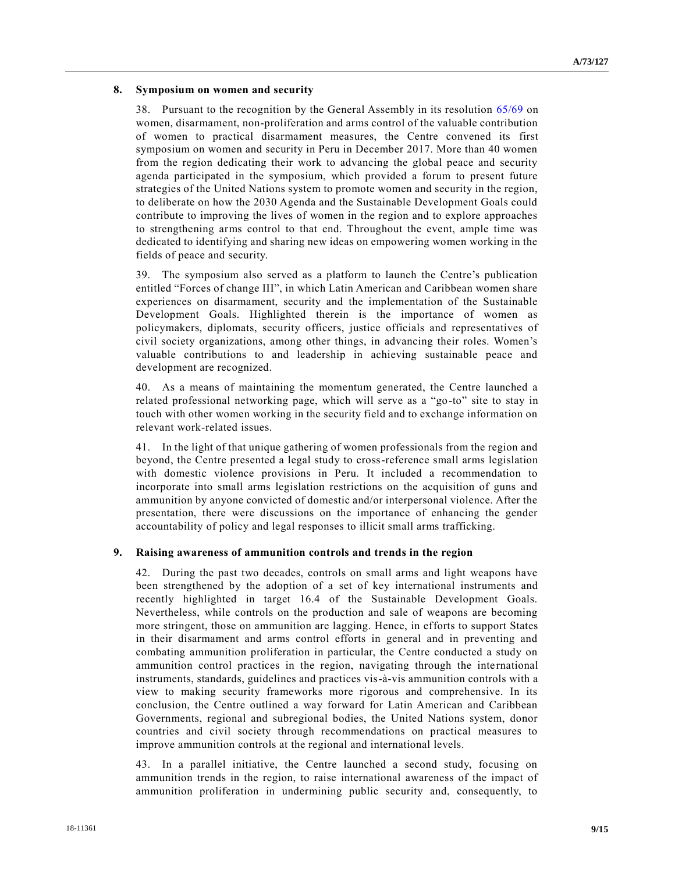#### **8. Symposium on women and security**

38. Pursuant to the recognition by the General Assembly in its resolution [65/69](https://undocs.org/A/RES/65/69) on women, disarmament, non-proliferation and arms control of the valuable contribution of women to practical disarmament measures, the Centre convened its first symposium on women and security in Peru in December 2017. More than 40 women from the region dedicating their work to advancing the global peace and security agenda participated in the symposium, which provided a forum to present future strategies of the United Nations system to promote women and security in the region, to deliberate on how the 2030 Agenda and the Sustainable Development Goals could contribute to improving the lives of women in the region and to explore approaches to strengthening arms control to that end. Throughout the event, ample time was dedicated to identifying and sharing new ideas on empowering women working in the fields of peace and security.

39. The symposium also served as a platform to launch the Centre's publication entitled "Forces of change III", in which Latin American and Caribbean women share experiences on disarmament, security and the implementation of the Sustainable Development Goals. Highlighted therein is the importance of women as policymakers, diplomats, security officers, justice officials and representatives of civil society organizations, among other things, in advancing their roles. Women's valuable contributions to and leadership in achieving sustainable peace and development are recognized.

40. As a means of maintaining the momentum generated, the Centre launched a related professional networking page, which will serve as a "go-to" site to stay in touch with other women working in the security field and to exchange information on relevant work-related issues.

41. In the light of that unique gathering of women professionals from the region and beyond, the Centre presented a legal study to cross-reference small arms legislation with domestic violence provisions in Peru. It included a recommendation to incorporate into small arms legislation restrictions on the acquisition of guns and ammunition by anyone convicted of domestic and/or interpersonal violence. After the presentation, there were discussions on the importance of enhancing the gender accountability of policy and legal responses to illicit small arms trafficking.

#### **9. Raising awareness of ammunition controls and trends in the region**

42. During the past two decades, controls on small arms and light weapons have been strengthened by the adoption of a set of key international instruments and recently highlighted in target 16.4 of the Sustainable Development Goals. Nevertheless, while controls on the production and sale of weapons are becoming more stringent, those on ammunition are lagging. Hence, in efforts to support States in their disarmament and arms control efforts in general and in preventing and combating ammunition proliferation in particular, the Centre conducted a study on ammunition control practices in the region, navigating through the international instruments, standards, guidelines and practices vis-à-vis ammunition controls with a view to making security frameworks more rigorous and comprehensive. In its conclusion, the Centre outlined a way forward for Latin American and Caribbean Governments, regional and subregional bodies, the United Nations system, donor countries and civil society through recommendations on practical measures to improve ammunition controls at the regional and international levels.

43. In a parallel initiative, the Centre launched a second study, focusing on ammunition trends in the region, to raise international awareness of the impact of ammunition proliferation in undermining public security and, consequently, to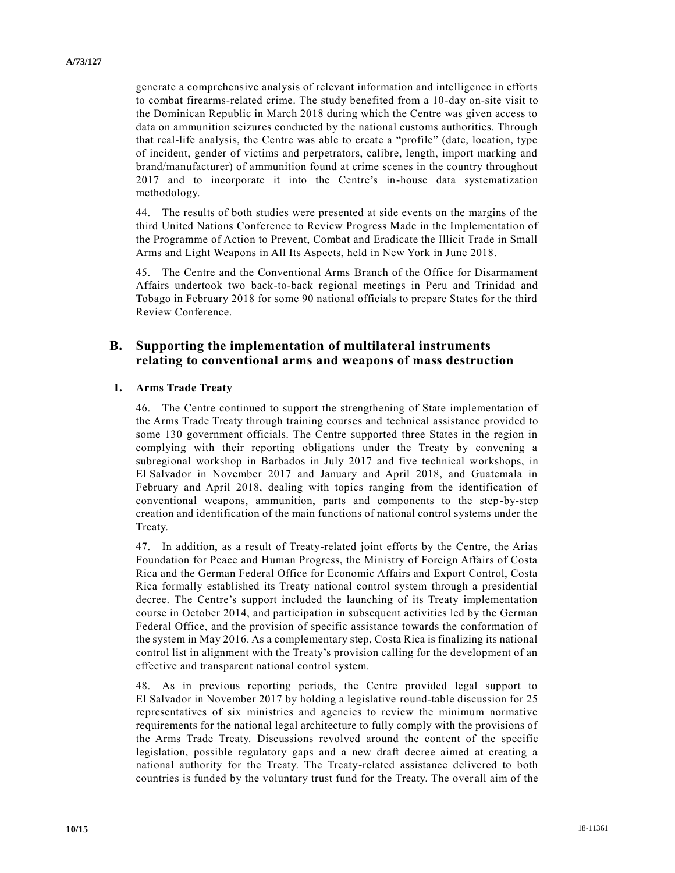generate a comprehensive analysis of relevant information and intelligence in efforts to combat firearms-related crime. The study benefited from a 10-day on-site visit to the Dominican Republic in March 2018 during which the Centre was given access to data on ammunition seizures conducted by the national customs authorities. Through that real-life analysis, the Centre was able to create a "profile" (date, location, type of incident, gender of victims and perpetrators, calibre, length, import marking and brand/manufacturer) of ammunition found at crime scenes in the country throughout 2017 and to incorporate it into the Centre's in-house data systematization methodology.

44. The results of both studies were presented at side events on the margins of the third United Nations Conference to Review Progress Made in the Implementation of the Programme of Action to Prevent, Combat and Eradicate the Illicit Trade in Small Arms and Light Weapons in All Its Aspects, held in New York in June 2018.

45. The Centre and the Conventional Arms Branch of the Office for Disarmament Affairs undertook two back-to-back regional meetings in Peru and Trinidad and Tobago in February 2018 for some 90 national officials to prepare States for the third Review Conference.

## **B. Supporting the implementation of multilateral instruments relating to conventional arms and weapons of mass destruction**

### **1. Arms Trade Treaty**

46. The Centre continued to support the strengthening of State implementation of the Arms Trade Treaty through training courses and technical assistance provided to some 130 government officials. The Centre supported three States in the region in complying with their reporting obligations under the Treaty by convening a subregional workshop in Barbados in July 2017 and five technical workshops, in El Salvador in November 2017 and January and April 2018, and Guatemala in February and April 2018, dealing with topics ranging from the identification of conventional weapons, ammunition, parts and components to the step-by-step creation and identification of the main functions of national control systems under the Treaty.

47. In addition, as a result of Treaty-related joint efforts by the Centre, the Arias Foundation for Peace and Human Progress, the Ministry of Foreign Affairs of Costa Rica and the German Federal Office for Economic Affairs and Export Control, Costa Rica formally established its Treaty national control system through a presidential decree. The Centre's support included the launching of its Treaty implementation course in October 2014, and participation in subsequent activities led by the German Federal Office, and the provision of specific assistance towards the conformation of the system in May 2016. As a complementary step, Costa Rica is finalizing its national control list in alignment with the Treaty's provision calling for the development of an effective and transparent national control system.

48. As in previous reporting periods, the Centre provided legal support to El Salvador in November 2017 by holding a legislative round-table discussion for 25 representatives of six ministries and agencies to review the minimum normative requirements for the national legal architecture to fully comply with the provisions of the Arms Trade Treaty. Discussions revolved around the content of the specific legislation, possible regulatory gaps and a new draft decree aimed at creating a national authority for the Treaty. The Treaty-related assistance delivered to both countries is funded by the voluntary trust fund for the Treaty. The over all aim of the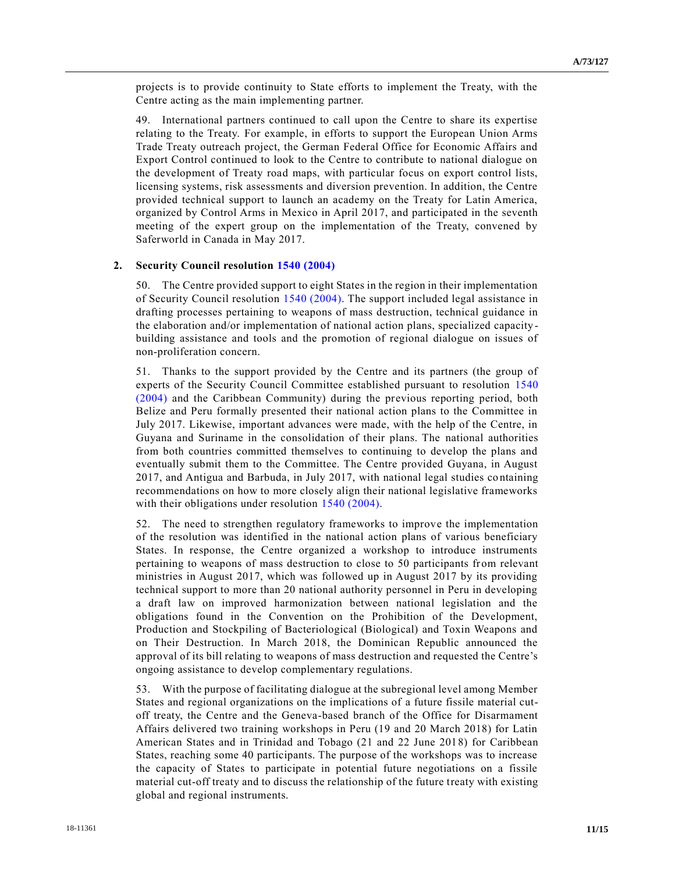projects is to provide continuity to State efforts to implement the Treaty, with the Centre acting as the main implementing partner.

49. International partners continued to call upon the Centre to share its expertise relating to the Treaty. For example, in efforts to support the European Union Arms Trade Treaty outreach project, the German Federal Office for Economic Affairs and Export Control continued to look to the Centre to contribute to national dialogue on the development of Treaty road maps, with particular focus on export control lists, licensing systems, risk assessments and diversion prevention. In addition, the Centre provided technical support to launch an academy on the Treaty for Latin America, organized by Control Arms in Mexico in April 2017, and participated in the seventh meeting of the expert group on the implementation of the Treaty, convened by Saferworld in Canada in May 2017.

#### **2. Security Council resolution [1540 \(2004\)](https://undocs.org/S/RES/1540(2004))**

50. The Centre provided support to eight States in the region in their implementation of Security Council resolution [1540 \(2004\).](https://undocs.org/S/RES/1540(2004)) The support included legal assistance in drafting processes pertaining to weapons of mass destruction, technical guidance in the elaboration and/or implementation of national action plans, specialized capacity building assistance and tools and the promotion of regional dialogue on issues of non-proliferation concern.

51. Thanks to the support provided by the Centre and its partners (the group of experts of the Security Council Committee established pursuant to resolution [1540](https://undocs.org/S/RES/1540(2004))  [\(2004\)](https://undocs.org/S/RES/1540(2004)) and the Caribbean Community) during the previous reporting period, both Belize and Peru formally presented their national action plans to the Committee in July 2017. Likewise, important advances were made, with the help of the Centre, in Guyana and Suriname in the consolidation of their plans. The national authorities from both countries committed themselves to continuing to develop the plans and eventually submit them to the Committee. The Centre provided Guyana, in August 2017, and Antigua and Barbuda, in July 2017, with national legal studies co ntaining recommendations on how to more closely align their national legislative frameworks with their obligations under resolution [1540 \(2004\).](https://undocs.org/S/RES/1540(2004))

52. The need to strengthen regulatory frameworks to improve the implementation of the resolution was identified in the national action plans of various beneficiary States. In response, the Centre organized a workshop to introduce instruments pertaining to weapons of mass destruction to close to 50 participants from relevant ministries in August 2017, which was followed up in August 2017 by its providing technical support to more than 20 national authority personnel in Peru in developing a draft law on improved harmonization between national legislation and the obligations found in the Convention on the Prohibition of the Development, Production and Stockpiling of Bacteriological (Biological) and Toxin Weapons and on Their Destruction. In March 2018, the Dominican Republic announced the approval of its bill relating to weapons of mass destruction and requested the Centre's ongoing assistance to develop complementary regulations.

53. With the purpose of facilitating dialogue at the subregional level among Member States and regional organizations on the implications of a future fissile material cutoff treaty, the Centre and the Geneva-based branch of the Office for Disarmament Affairs delivered two training workshops in Peru (19 and 20 March 2018) for Latin American States and in Trinidad and Tobago (21 and 22 June 2018) for Caribbean States, reaching some 40 participants. The purpose of the workshops was to increase the capacity of States to participate in potential future negotiations on a fissile material cut-off treaty and to discuss the relationship of the future treaty with existing global and regional instruments.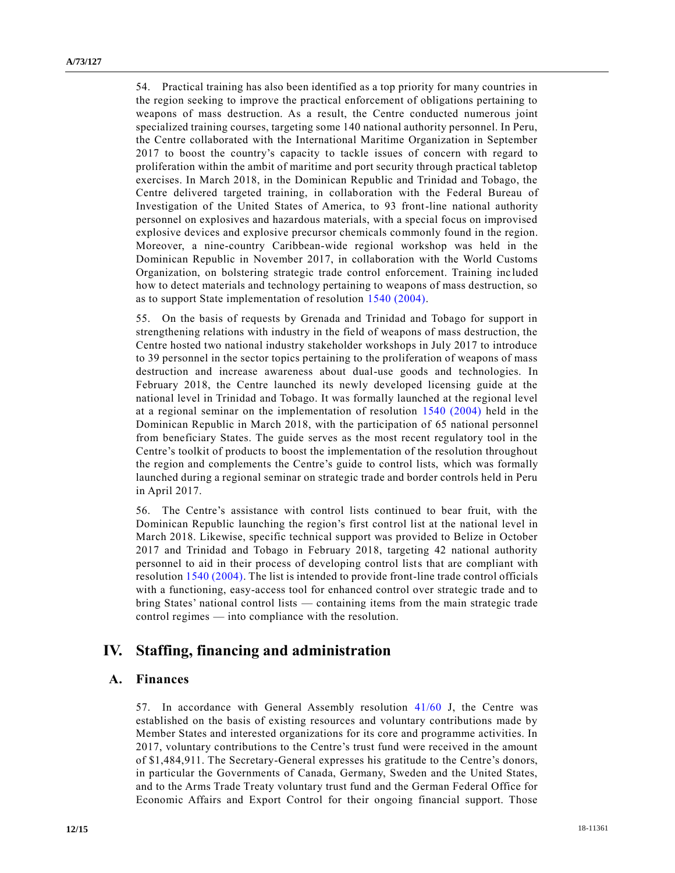54. Practical training has also been identified as a top priority for many countries in the region seeking to improve the practical enforcement of obligations pertaining to weapons of mass destruction. As a result, the Centre conducted numerous joint specialized training courses, targeting some 140 national authority personnel. In Peru, the Centre collaborated with the International Maritime Organization in September 2017 to boost the country's capacity to tackle issues of concern with regard to proliferation within the ambit of maritime and port security through practical tabletop exercises. In March 2018, in the Dominican Republic and Trinidad and Tobago, the Centre delivered targeted training, in collaboration with the Federal Bureau of Investigation of the United States of America, to 93 front-line national authority personnel on explosives and hazardous materials, with a special focus on improvised explosive devices and explosive precursor chemicals commonly found in the region. Moreover, a nine-country Caribbean-wide regional workshop was held in the Dominican Republic in November 2017, in collaboration with the World Customs Organization, on bolstering strategic trade control enforcement. Training inc luded how to detect materials and technology pertaining to weapons of mass destruction, so as to support State implementation of resolution [1540 \(2004\).](https://undocs.org/S/RES/1540(2004))

55. On the basis of requests by Grenada and Trinidad and Tobago for support in strengthening relations with industry in the field of weapons of mass destruction, the Centre hosted two national industry stakeholder workshops in July 2017 to introduce to 39 personnel in the sector topics pertaining to the proliferation of weapons of mass destruction and increase awareness about dual-use goods and technologies. In February 2018, the Centre launched its newly developed licensing guide at the national level in Trinidad and Tobago. It was formally launched at the regional level at a regional seminar on the implementation of resolution [1540 \(2004\)](https://undocs.org/S/RES/1540(2004)) held in the Dominican Republic in March 2018, with the participation of 65 national personnel from beneficiary States. The guide serves as the most recent regulatory tool in the Centre's toolkit of products to boost the implementation of the resolution throughout the region and complements the Centre's guide to control lists, which was formally launched during a regional seminar on strategic trade and border controls held in Peru in April 2017.

56. The Centre's assistance with control lists continued to bear fruit, with the Dominican Republic launching the region's first control list at the national level in March 2018. Likewise, specific technical support was provided to Belize in October 2017 and Trinidad and Tobago in February 2018, targeting 42 national authority personnel to aid in their process of developing control lists that are compliant with resolutio[n 1540 \(2004\).](https://undocs.org/S/RES/1540(2004)) The list is intended to provide front-line trade control officials with a functioning, easy-access tool for enhanced control over strategic trade and to bring States' national control lists — containing items from the main strategic trade control regimes — into compliance with the resolution.

## **IV. Staffing, financing and administration**

## **A. Finances**

57. In accordance with General Assembly resolution [41/60](https://undocs.org/A/RES/41/60) J, the Centre was established on the basis of existing resources and voluntary contributions made by Member States and interested organizations for its core and programme activities. In 2017, voluntary contributions to the Centre's trust fund were received in the amount of \$1,484,911. The Secretary-General expresses his gratitude to the Centre's donors, in particular the Governments of Canada, Germany, Sweden and the United States, and to the Arms Trade Treaty voluntary trust fund and the German Federal Office for Economic Affairs and Export Control for their ongoing financial support. Those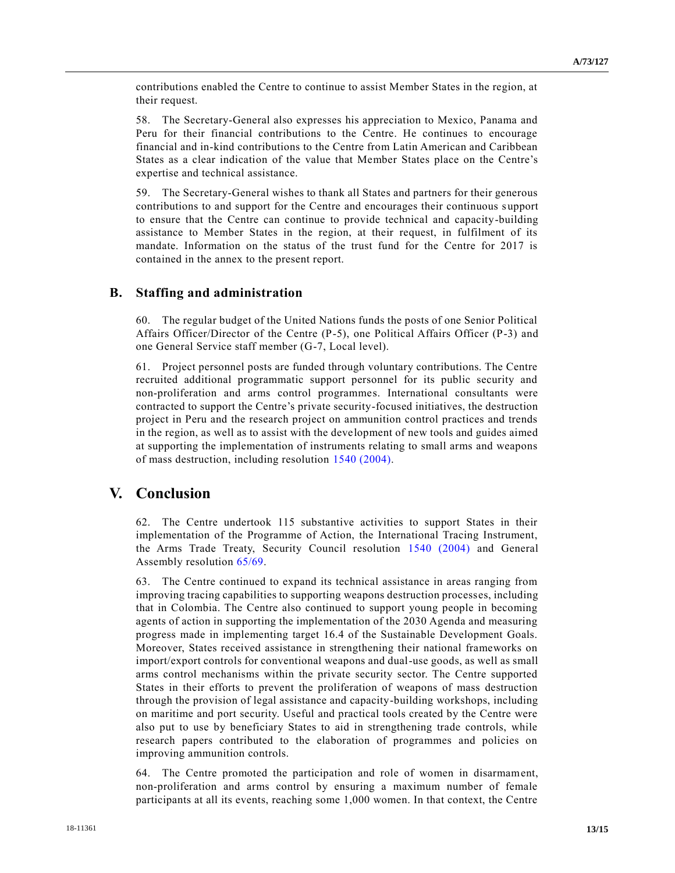contributions enabled the Centre to continue to assist Member States in the region, at their request.

58. The Secretary-General also expresses his appreciation to Mexico, Panama and Peru for their financial contributions to the Centre. He continues to encourage financial and in-kind contributions to the Centre from Latin American and Caribbean States as a clear indication of the value that Member States place on the Centre's expertise and technical assistance.

59. The Secretary-General wishes to thank all States and partners for their generous contributions to and support for the Centre and encourages their continuous s upport to ensure that the Centre can continue to provide technical and capacity-building assistance to Member States in the region, at their request, in fulfilment of its mandate. Information on the status of the trust fund for the Centre for 2017 is contained in the annex to the present report.

### **B. Staffing and administration**

60. The regular budget of the United Nations funds the posts of one Senior Political Affairs Officer/Director of the Centre (P-5), one Political Affairs Officer (P-3) and one General Service staff member (G-7, Local level).

61. Project personnel posts are funded through voluntary contributions. The Centre recruited additional programmatic support personnel for its public security and non-proliferation and arms control programmes. International consultants were contracted to support the Centre's private security-focused initiatives, the destruction project in Peru and the research project on ammunition control practices and trends in the region, as well as to assist with the development of new tools and guides aimed at supporting the implementation of instruments relating to small arms and weapons of mass destruction, including resolution [1540 \(2004\).](https://undocs.org/S/RES/1540(2004))

## **V. Conclusion**

62. The Centre undertook 115 substantive activities to support States in their implementation of the Programme of Action, the International Tracing Instrument, the Arms Trade Treaty, Security Council resolution [1540 \(2004\)](https://undocs.org/S/RES/1540(2004)) and General Assembly resolution [65/69.](https://undocs.org/A/RES/65/69) 

63. The Centre continued to expand its technical assistance in areas ranging from improving tracing capabilities to supporting weapons destruction processes, including that in Colombia. The Centre also continued to support young people in becoming agents of action in supporting the implementation of the 2030 Agenda and measuring progress made in implementing target 16.4 of the Sustainable Development Goals. Moreover, States received assistance in strengthening their national frameworks on import/export controls for conventional weapons and dual-use goods, as well as small arms control mechanisms within the private security sector. The Centre supported States in their efforts to prevent the proliferation of weapons of mass destruction through the provision of legal assistance and capacity-building workshops, including on maritime and port security. Useful and practical tools created by the Centre were also put to use by beneficiary States to aid in strengthening trade controls, while research papers contributed to the elaboration of programmes and policies on improving ammunition controls.

64. The Centre promoted the participation and role of women in disarmament, non-proliferation and arms control by ensuring a maximum number of female participants at all its events, reaching some 1,000 women. In that context, the Centre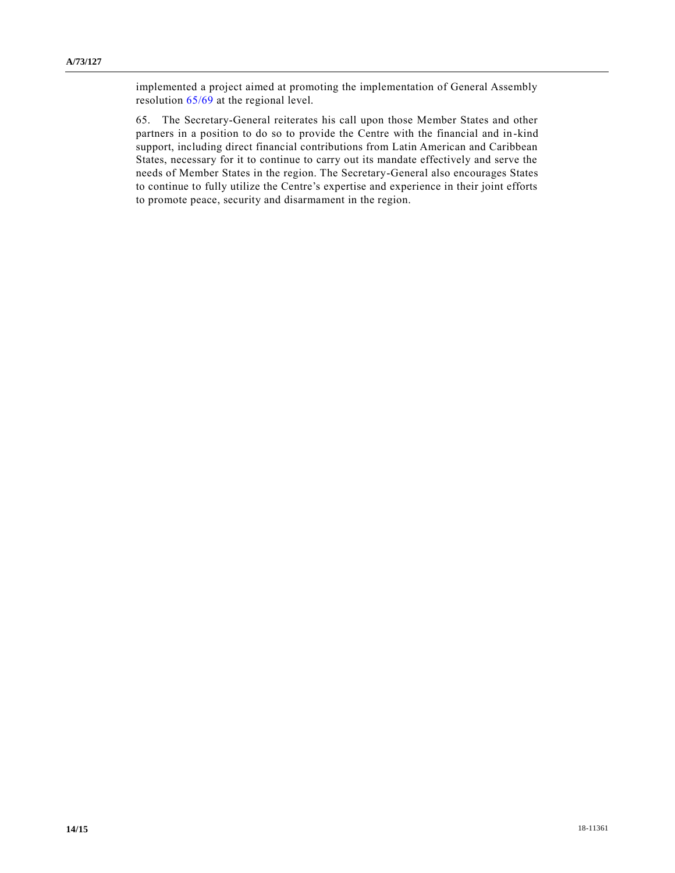implemented a project aimed at promoting the implementation of General Assembly resolution [65/69](https://undocs.org/A/RES/65/69) at the regional level.

65. The Secretary-General reiterates his call upon those Member States and other partners in a position to do so to provide the Centre with the financial and in -kind support, including direct financial contributions from Latin American and Caribbean States, necessary for it to continue to carry out its mandate effectively and serve the needs of Member States in the region. The Secretary-General also encourages States to continue to fully utilize the Centre's expertise and experience in their joint efforts to promote peace, security and disarmament in the region.